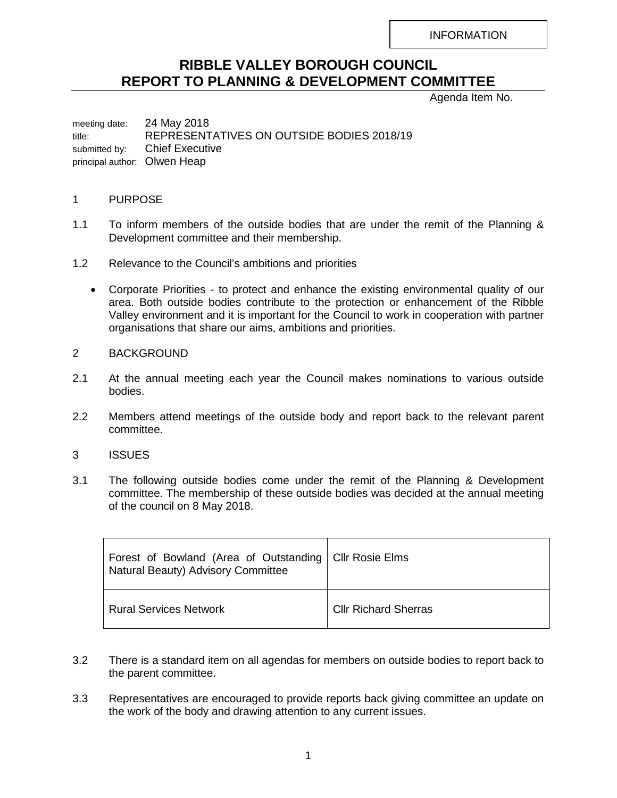INFORMATION

## **RIBBLE VALLEY BOROUGH COUNCIL REPORT TO PLANNING & DEVELOPMENT COMMITTEE**

Agenda Item No.

meeting date: 24 May 2018 title: REPRESENTATIVES ON OUTSIDE BODIES 2018/19 submitted by: Chief Executive principal author: Olwen Heap

## 1 PURPOSE

- 1.1 To inform members of the outside bodies that are under the remit of the Planning & Development committee and their membership.
- 1.2 Relevance to the Council's ambitions and priorities
	- Corporate Priorities to protect and enhance the existing environmental quality of our area. Both outside bodies contribute to the protection or enhancement of the Ribble Valley environment and it is important for the Council to work in cooperation with partner organisations that share our aims, ambitions and priorities.

## 2 BACKGROUND

- 2.1 At the annual meeting each year the Council makes nominations to various outside bodies.
- 2.2 Members attend meetings of the outside body and report back to the relevant parent committee.
- 3 ISSUES
- 3.1 The following outside bodies come under the remit of the Planning & Development committee. The membership of these outside bodies was decided at the annual meeting of the council on 8 May 2018.

| Forest of Bowland (Area of Outstanding   CIIr Rosie Elms<br>Natural Beauty) Advisory Committee |                             |
|------------------------------------------------------------------------------------------------|-----------------------------|
| <b>Rural Services Network</b>                                                                  | <b>CIIr Richard Sherras</b> |

- 3.2 There is a standard item on all agendas for members on outside bodies to report back to the parent committee.
- 3.3 Representatives are encouraged to provide reports back giving committee an update on the work of the body and drawing attention to any current issues.